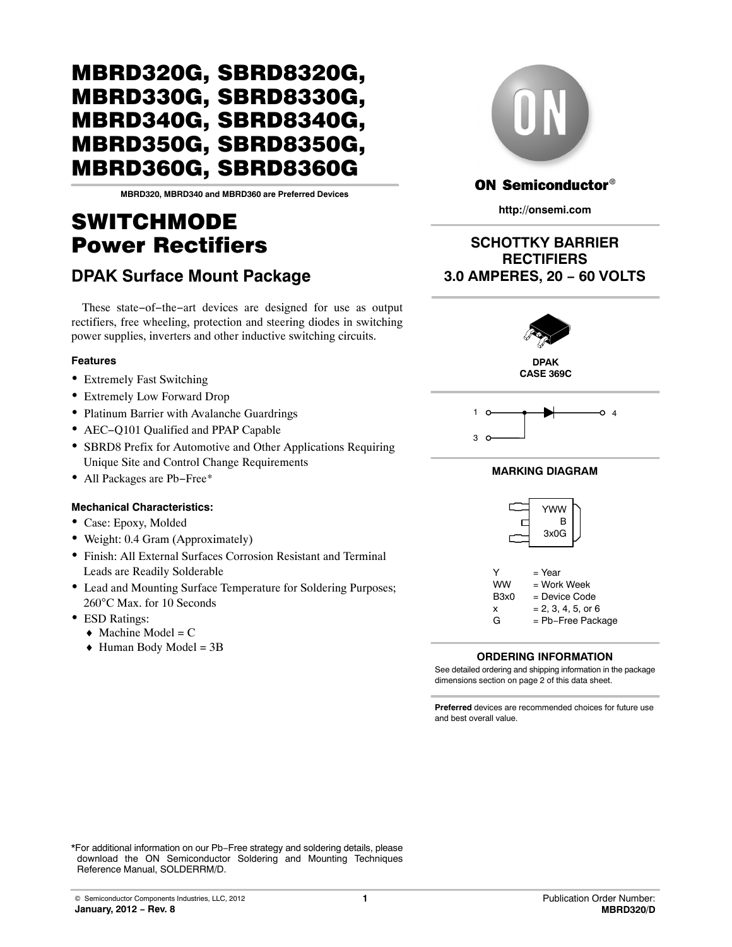**MBRD320, MBRD340 and MBRD360 are Preferred Devices**

# SWITCHMODE Power Rectifiers

## **DPAK Surface Mount Package**

These state−of−the−art devices are designed for use as output rectifiers, free wheeling, protection and steering diodes in switching power supplies, inverters and other inductive switching circuits.

#### **Features**

- Extremely Fast Switching
- Extremely Low Forward Drop
- Platinum Barrier with Avalanche Guardrings
- AEC−Q101 Qualified and PPAP Capable
- SBRD8 Prefix for Automotive and Other Applications Requiring Unique Site and Control Change Requirements
- All Packages are Pb−Free\*

#### **Mechanical Characteristics:**

- Case: Epoxy, Molded
- Weight: 0.4 Gram (Approximately)
- Finish: All External Surfaces Corrosion Resistant and Terminal Leads are Readily Solderable
- Lead and Mounting Surface Temperature for Soldering Purposes; 260°C Max. for 10 Seconds
- ESD Ratings:
	- $\triangleleft$  Machine Model = C
	- $\triangleleft$  Human Body Model = 3B

## **ON Semiconductor®**

**http://onsemi.com**

## **SCHOTTKY BARRIER RECTIFIERS 3.0 AMPERES, 20 − 60 VOLTS**



**CASE 369C**



#### **MARKING DIAGRAM**



|                               | = Year               |
|-------------------------------|----------------------|
| <b>WW</b>                     | = Work Week          |
| B <sub>3</sub> x <sub>0</sub> | = Device Code        |
| x                             | $= 2, 3, 4, 5,$ or 6 |
| G                             | = Pb-Free Package    |

### **ORDERING INFORMATION**

See detailed ordering and shipping information in the package dimensions section on page [2](#page-1-0) of this data sheet.

**Preferred** devices are recommended choices for future use and best overall value.

\*For additional information on our Pb−Free strategy and soldering details, please download the ON Semiconductor Soldering and Mounting Techniques Reference Manual, SOLDERRM/D.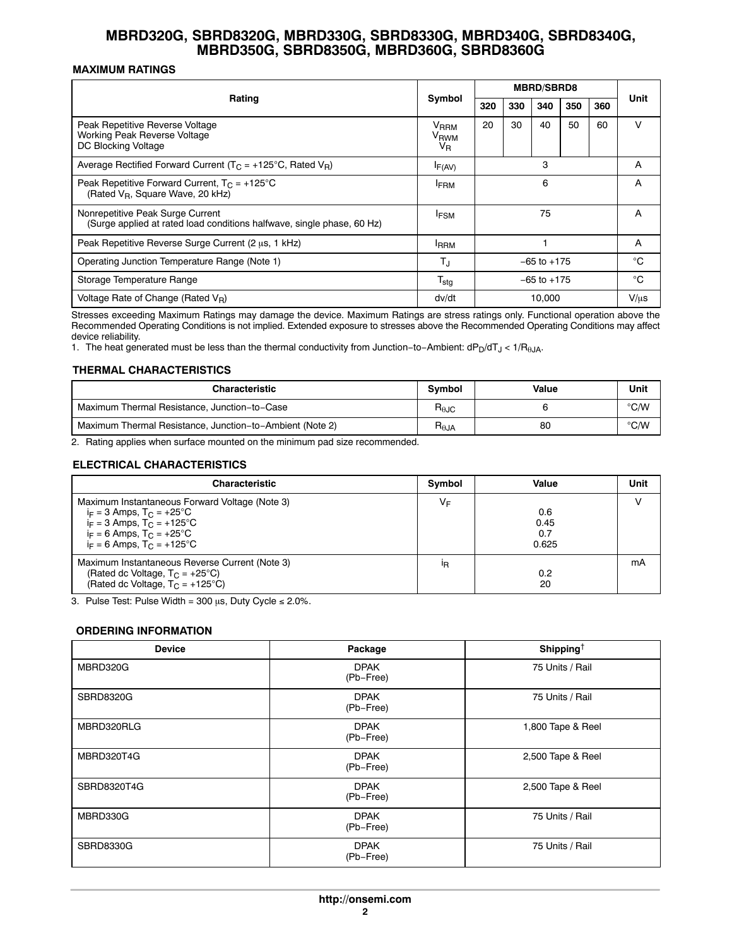### <span id="page-1-0"></span>**MAXIMUM RATINGS**

|                                                                                                            |                                            | <b>MBRD/SBRD8</b> |     |        |     |     |           |
|------------------------------------------------------------------------------------------------------------|--------------------------------------------|-------------------|-----|--------|-----|-----|-----------|
| Rating                                                                                                     | Symbol                                     | 320               | 330 | 340    | 350 | 360 | Unit      |
| Peak Repetitive Reverse Voltage<br>Working Peak Reverse Voltage<br>DC Blocking Voltage                     | V <sub>RRM</sub><br>V <sub>RWM</sub><br>VR | 20                | 30  | 40     | 50  | 60  | v         |
| Average Rectified Forward Current ( $T_C$ = +125°C, Rated V <sub>R</sub> )                                 | $I_{F(AV)}$                                | 3                 |     |        | A   |     |           |
| Peak Repetitive Forward Current, $T_C = +125^{\circ}C$<br>(Rated V <sub>R</sub> , Square Wave, 20 kHz)     | <b>IFRM</b>                                | 6                 |     |        | A   |     |           |
| Nonrepetitive Peak Surge Current<br>(Surge applied at rated load conditions halfwave, single phase, 60 Hz) | <sup>I</sup> FSM                           | 75                |     |        |     | A   |           |
| Peak Repetitive Reverse Surge Current (2 µs, 1 kHz)                                                        | <b>IRRM</b>                                |                   |     | A      |     |     |           |
| Operating Junction Temperature Range (Note 1)                                                              | T.                                         | $-65$ to $+175$   |     |        | °C  |     |           |
| Storage Temperature Range                                                                                  | $\mathsf{T_{stg}}$                         | $-65$ to $+175$   |     |        | °C  |     |           |
| Voltage Rate of Change (Rated $V_R$ )                                                                      | dv/dt                                      |                   |     | 10.000 |     |     | $V/\mu s$ |

Stresses exceeding Maximum Ratings may damage the device. Maximum Ratings are stress ratings only. Functional operation above the Recommended Operating Conditions is not implied. Extended exposure to stresses above the Recommended Operating Conditions may affect device reliability.

1. The heat generated must be less than the thermal conductivity from Junction–to–Ambient: dP<sub>D</sub>/dT<sub>J</sub> < 1/R<sub>θJA</sub>.

#### **THERMAL CHARACTERISTICS**

| <b>Characteristic</b>                                    | <b>Symbol</b> | Value | Unit |
|----------------------------------------------------------|---------------|-------|------|
| Maximum Thermal Resistance, Junction-to-Case             |               |       | °C/W |
| Maximum Thermal Resistance, Junction-to-Ambient (Note 2) |               | 80    | °C/W |

2. Rating applies when surface mounted on the minimum pad size recommended.

#### **ELECTRICAL CHARACTERISTICS**

| <b>Characteristic</b>                                                                                                                                                                                            | Symbol | Value                       | Unit |
|------------------------------------------------------------------------------------------------------------------------------------------------------------------------------------------------------------------|--------|-----------------------------|------|
| Maximum Instantaneous Forward Voltage (Note 3)<br>$i_F = 3$ Amps, $T_C = +25^{\circ}C$<br>$i_F = 3$ Amps, $T_C = +125^{\circ}C$<br>$i_F = 6$ Amps, $T_C = +25^{\circ}C$<br>$i_F = 6$ Amps, $T_C = +125^{\circ}C$ | VF     | 0.6<br>0.45<br>0.7<br>0.625 |      |
| Maximum Instantaneous Reverse Current (Note 3)<br>(Rated dc Voltage, $T_C = +25^{\circ}C$ )<br>(Rated dc Voltage, $T_C = +125^{\circ}C$ )                                                                        | ΙR     | 0.2<br>20                   | mA   |

3. Pulse Test: Pulse Width = 300  $\mu$ s, Duty Cycle ≤ 2.0%.

#### **ORDERING INFORMATION**

| <b>Device</b>    | Package                  | Shipping <sup>+</sup> |
|------------------|--------------------------|-----------------------|
| MBRD320G         | <b>DPAK</b><br>(Pb-Free) | 75 Units / Rail       |
| <b>SBRD8320G</b> | <b>DPAK</b><br>(Pb-Free) | 75 Units / Rail       |
| MBRD320RLG       | <b>DPAK</b><br>(Pb-Free) | 1,800 Tape & Reel     |
| MBRD320T4G       | <b>DPAK</b><br>(Pb-Free) | 2,500 Tape & Reel     |
| SBRD8320T4G      | <b>DPAK</b><br>(Pb-Free) | 2,500 Tape & Reel     |
| MBRD330G         | <b>DPAK</b><br>(Pb-Free) | 75 Units / Rail       |
| <b>SBRD8330G</b> | <b>DPAK</b><br>(Pb-Free) | 75 Units / Rail       |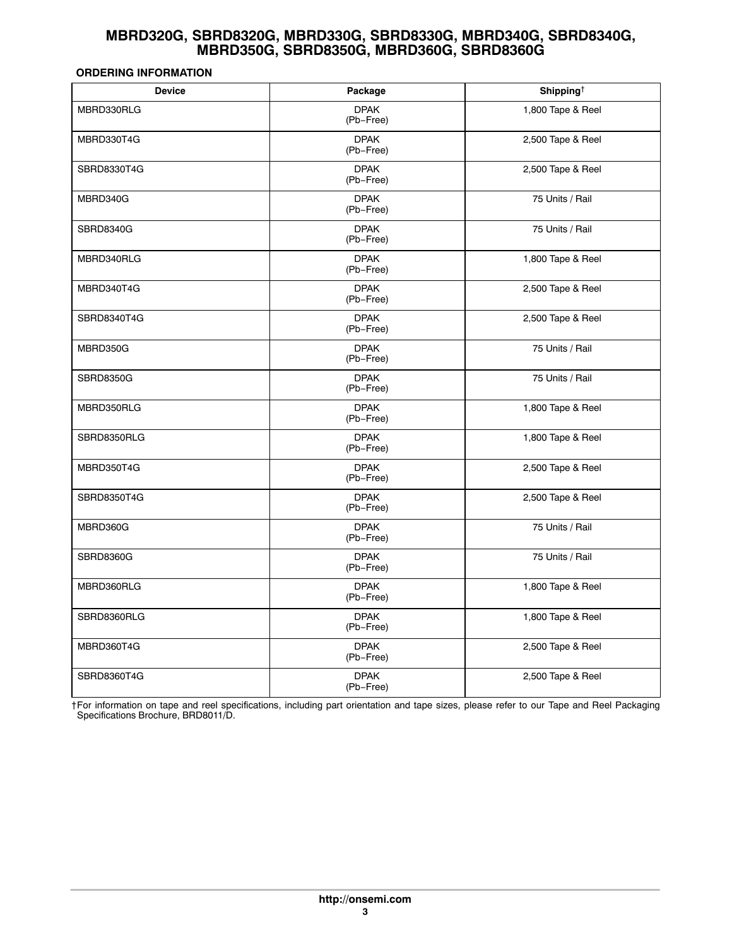#### **ORDERING INFORMATION**

| <b>Device</b>    | Package                  | Shipping <sup>†</sup> |  |
|------------------|--------------------------|-----------------------|--|
| MBRD330RLG       | <b>DPAK</b><br>(Pb-Free) | 1,800 Tape & Reel     |  |
| MBRD330T4G       | <b>DPAK</b><br>(Pb-Free) | 2,500 Tape & Reel     |  |
| SBRD8330T4G      | <b>DPAK</b><br>(Pb-Free) | 2,500 Tape & Reel     |  |
| MBRD340G         | <b>DPAK</b><br>(Pb-Free) | 75 Units / Rail       |  |
| <b>SBRD8340G</b> | <b>DPAK</b><br>(Pb-Free) | 75 Units / Rail       |  |
| MBRD340RLG       | <b>DPAK</b><br>(Pb-Free) | 1,800 Tape & Reel     |  |
| MBRD340T4G       | <b>DPAK</b><br>(Pb-Free) | 2,500 Tape & Reel     |  |
| SBRD8340T4G      | <b>DPAK</b><br>(Pb-Free) | 2,500 Tape & Reel     |  |
| MBRD350G         | <b>DPAK</b><br>(Pb-Free) | 75 Units / Rail       |  |
| <b>SBRD8350G</b> | <b>DPAK</b><br>(Pb-Free) | 75 Units / Rail       |  |
| MBRD350RLG       | <b>DPAK</b><br>(Pb-Free) | 1,800 Tape & Reel     |  |
| SBRD8350RLG      | <b>DPAK</b><br>(Pb-Free) | 1,800 Tape & Reel     |  |
| MBRD350T4G       | <b>DPAK</b><br>(Pb-Free) | 2,500 Tape & Reel     |  |
| SBRD8350T4G      | <b>DPAK</b><br>(Pb-Free) | 2,500 Tape & Reel     |  |
| MBRD360G         | <b>DPAK</b><br>(Pb-Free) | 75 Units / Rail       |  |
| <b>SBRD8360G</b> | <b>DPAK</b><br>(Pb-Free) | 75 Units / Rail       |  |
| MBRD360RLG       | <b>DPAK</b><br>(Pb-Free) | 1,800 Tape & Reel     |  |
| SBRD8360RLG      | <b>DPAK</b><br>(Pb-Free) | 1,800 Tape & Reel     |  |
| MBRD360T4G       | <b>DPAK</b><br>(Pb-Free) | 2,500 Tape & Reel     |  |
| SBRD8360T4G      | <b>DPAK</b><br>(Pb-Free) | 2,500 Tape & Reel     |  |

†For information on tape and reel specifications, including part orientation and tape sizes, please refer to our Tape and Reel Packaging Specifications Brochure, BRD8011/D.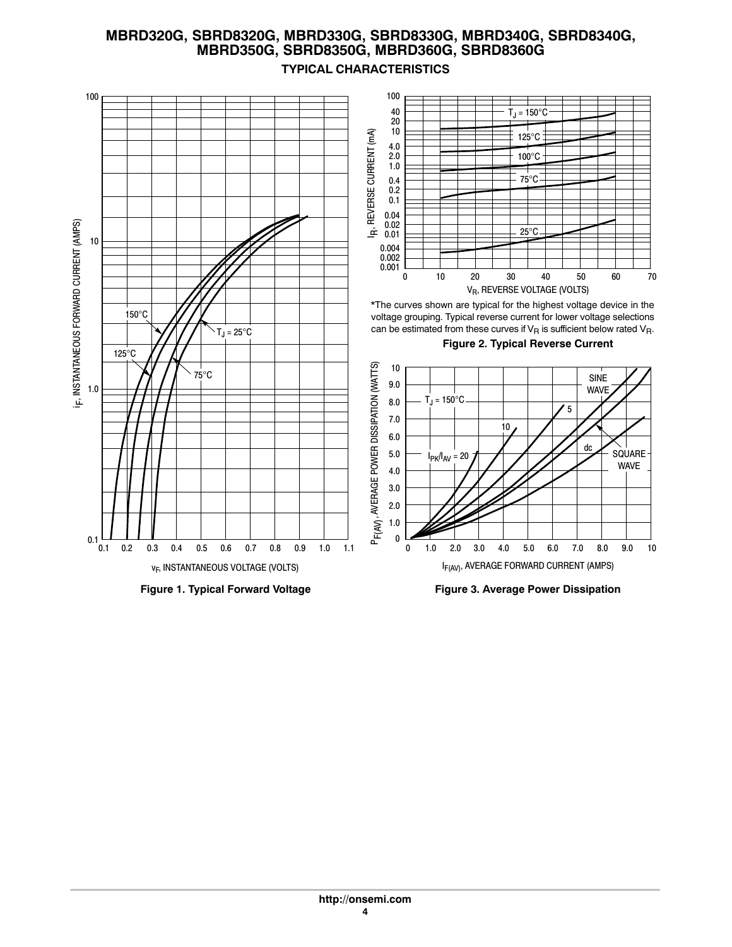

## **TYPICAL CHARACTERISTICS**

**Figure 3. Average Power Dissipation**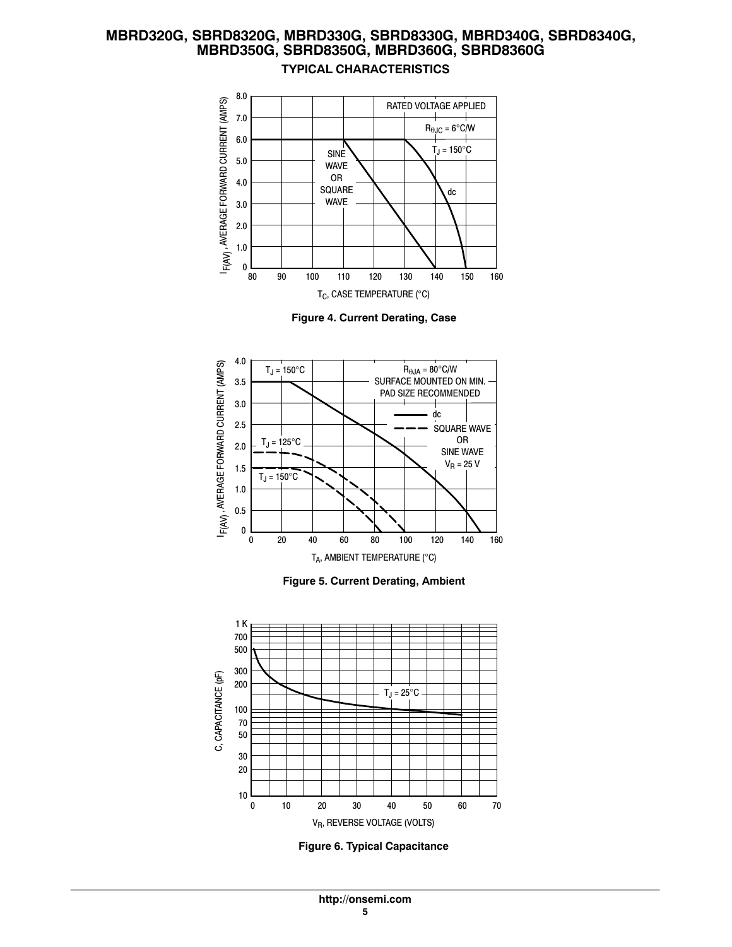## **MBRD320G, SBRD8320G, MBRD330G, SBRD8330G, MBRD340G, SBRD8340G, MBRD350G, SBRD8350G, MBRD360G, SBRD8360G TYPICAL CHARACTERISTICS**



**Figure 4. Current Derating, Case**







**Figure 6. Typical Capacitance**